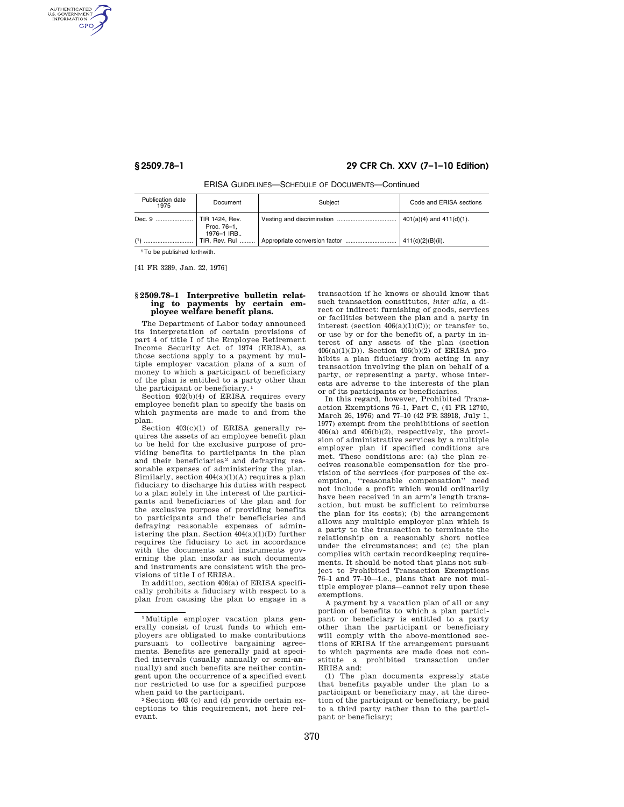AUTHENTICATED<br>U.S. GOVERNMENT<br>INFORMATION **GPO** 

# **§ 2509.78–1 29 CFR Ch. XXV (7–1–10 Edition)**

ERISA GUIDELINES—SCHEDULE OF DOCUMENTS—Continued

| Publication date<br>1975 | Document                                    | Subiect | Code and ERISA sections       |
|--------------------------|---------------------------------------------|---------|-------------------------------|
| Dec. 9                   | TIR 1424, Rev.<br>Proc. 76-1,<br>1976-1 IRB |         | $401(a)(4)$ and $411(d)(1)$ . |
|                          | TIR, Rev. Rul                               |         | 411(c)(2)(B)(ii).             |

1To be published forthwith.

[41 FR 3289, Jan. 22, 1976]

## **§ 2509.78–1 Interpretive bulletin relating to payments by certain employee welfare benefit plans.**

The Department of Labor today announced its interpretation of certain provisions of part 4 of title I of the Employee Retirement Income Security Act of 1974 (ERISA), as those sections apply to a payment by multiple employer vacation plans of a sum of money to which a participant of beneficiary of the plan is entitled to a party other than the participant or beneficiary. 1

Section 402(b)(4) of ERISA requires every employee benefit plan to specify the basis on which payments are made to and from the plan.

Section 403(c)(1) of ERISA generally requires the assets of an employee benefit plan to be held for the exclusive purpose of providing benefits to participants in the plan and their beneficiaries<sup>2</sup> and defraying reasonable expenses of administering the plan. Similarly, section  $404(a)(1)(A)$  requires a plan fiduciary to discharge his duties with respect to a plan solely in the interest of the participants and beneficiaries of the plan and for the exclusive purpose of providing benefits to participants and their beneficiaries and defraying reasonable expenses of administering the plan. Section 404(a)(1)(D) further requires the fiduciary to act in accordance with the documents and instruments governing the plan insofar as such documents and instruments are consistent with the provisions of title I of ERISA.

In addition, section 406(a) of ERISA specifically prohibits a fiduciary with respect to a plan from causing the plan to engage in a

transaction if he knows or should know that such transaction constitutes, *inter alia,* a direct or indirect: furnishing of goods, services or facilities between the plan and a party in interest (section  $406(a)(1)(C)$ ); or transfer to, or use by or for the benefit of, a party in interest of any assets of the plan (section 406(a)(1)(D)). Section 406(b)(2) of ERISA prohibits a plan fiduciary from acting in any transaction involving the plan on behalf of a party, or representing a party, whose interests are adverse to the interests of the plan or of its participants or beneficiaries.

In this regard, however, Prohibited Transaction Exemptions 76–1, Part C, (41 FR 12740, March 26, 1976) and 77–10 (42 FR 33918, July 1, 1977) exempt from the prohibitions of section 406(a) and 406(b)(2), respectively, the provision of administrative services by a multiple employer plan if specified conditions are met. These conditions are: (a) the plan receives reasonable compensation for the provision of the services (for purposes of the exemption, ''reasonable compensation'' need not include a profit which would ordinarily have been received in an arm's length transaction, but must be sufficient to reimburse the plan for its costs); (b) the arrangement allows any multiple employer plan which is a party to the transaction to terminate the relationship on a reasonably short notice under the circumstances; and (c) the plan complies with certain recordkeeping requirements. It should be noted that plans not subject to Prohibited Transaction Exemptions 76–1 and 77–10—i.e., plans that are not multiple employer plans—cannot rely upon these exemptions.

A payment by a vacation plan of all or any portion of benefits to which a plan participant or beneficiary is entitled to a party other than the participant or beneficiary will comply with the above-mentioned sections of ERISA if the arrangement pursuant to which payments are made does not constitute a prohibited transaction under ERISA and:

(1) The plan documents expressly state that benefits payable under the plan to a participant or beneficiary may, at the direction of the participant or beneficiary, be paid to a third party rather than to the participant or beneficiary;

<sup>1</sup>Multiple employer vacation plans generally consist of trust funds to which employers are obligated to make contributions pursuant to collective bargaining agreements. Benefits are generally paid at specified intervals (usually annually or semi-annually) and such benefits are neither contingent upon the occurrence of a specified event nor restricted to use for a specified purpose

when paid to the participant.<br><sup>2</sup> Section 403 (c) and (d) provide certain exceptions to this requirement, not here relevant.